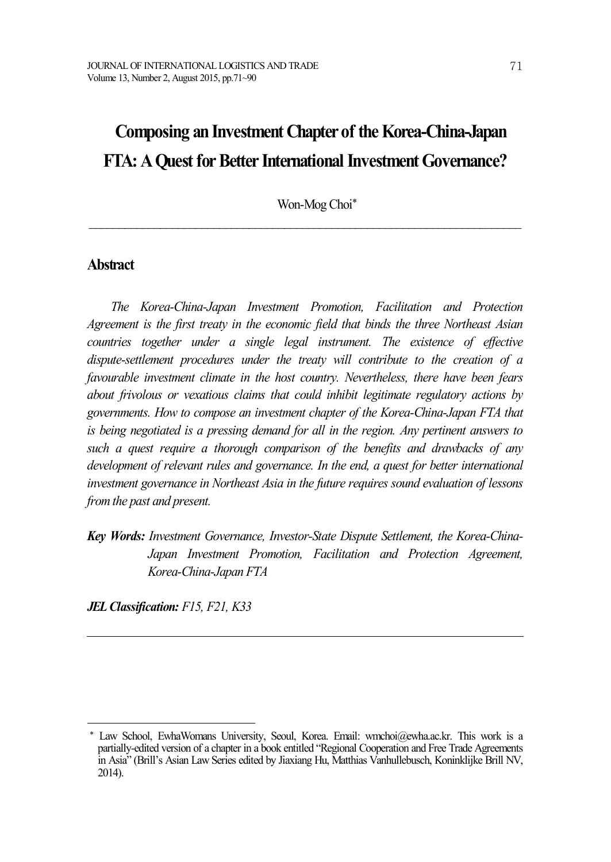Won-Mog Choi \*

 $\mathcal{L}_\text{max} = \mathcal{L}_\text{max} = \mathcal{L}_\text{max} = \mathcal{L}_\text{max} = \mathcal{L}_\text{max} = \mathcal{L}_\text{max} = \mathcal{L}_\text{max} = \mathcal{L}_\text{max} = \mathcal{L}_\text{max} = \mathcal{L}_\text{max} = \mathcal{L}_\text{max} = \mathcal{L}_\text{max} = \mathcal{L}_\text{max} = \mathcal{L}_\text{max} = \mathcal{L}_\text{max} = \mathcal{L}_\text{max} = \mathcal{L}_\text{max} = \mathcal{L}_\text{max} = \mathcal{$ 

# **Abstract**

*The Korea-China-Japan Investment Promotion, Facilitation and Protection Agreement is the first treaty in the economic field that binds the three Northeast Asian countries together under a single legal instrument. The existence of ef ective dispute-settlement procedures under the treaty will contribute to the creation of a favourable investment climate in the host country. Nevertheless, there have been fears about frivolous or vexatious claims that could inhibit legitimate regulatory actions by governments. How to compose an investment chapter of the Korea-China-Japan FTA that is being negotiated is a pressing demand for all in the region. Any pertinent answers to such a quest require a thorough comparison of the benefits and drawbacks of any development of relevant rules and governance. In the end, a quest for better international investment governance in Northeast Asia in the future requires sound evaluation of lessons from the past and present.*

*Key Words: Investment Governance, Investor-State Dispute Settlement, the Korea-China-Japan Investment Promotion, Facilitation and Protection Agreement, Korea-China-Japan FTA*

*JELClassification: F15, F21, K33*

<sup>\*</sup> Law School, EwhaWomans University, Seoul, Korea. Email: wmchoi@ewha.ac.kr. This work is a partially-edited version of a chapter in a book entitled "Regional Cooperation and Free Trade Agreements in Asia" (Brill's Asian Law Series edited by Jiaxiang Hu, Matthias Vanhullebusch, Koninklijke Brill NV, 2014).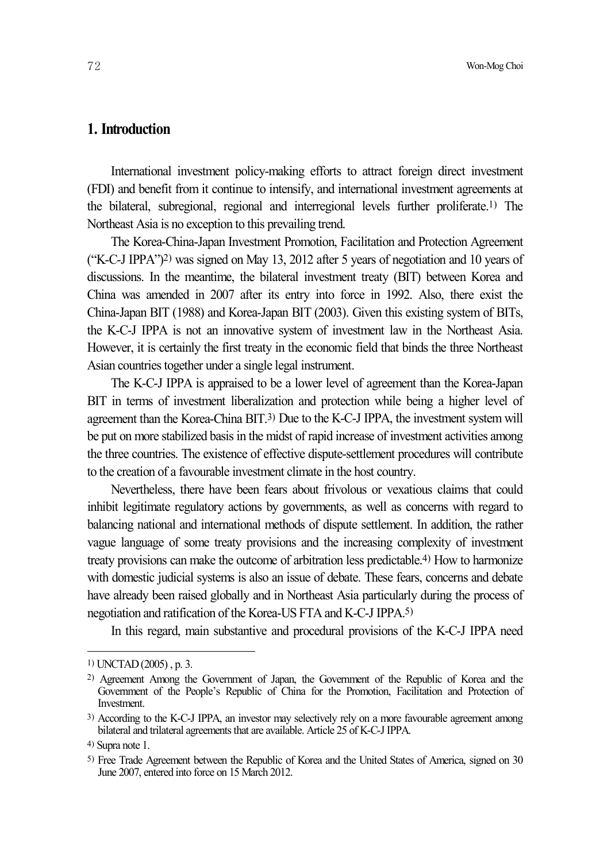# **1. Introduction**

International investment policy-making efforts to attract foreign direct investment (FDI) and benefit from it continue to intensify, and international investment agreements at the bilateral, subregional, regional and interregional levels further proliferate. 1) The Northeast Asia is no exception to this prevailing trend.

The Korea-China-Japan Investment Promotion, Facilitation and Protection Agreement ("K-C-J IPPA") 2) was signed on May 13, 2012 after 5 years of negotiation and 10 years of discussions. In the meantime, the bilateral investment treaty (BIT) between Korea and China was amended in 2007 after its entry into force in 1992. Also, there exist the China-Japan BIT (1988) and Korea-Japan BIT (2003). Given this existing system of BITs, the K-C-J IPPA is not an innovative system of investment law in the Northeast Asia. However, it is certainly the first treaty in the economic field that binds the three Northeast Asian countries together under a single legal instrument.

The K-C-J IPPA is appraised to be a lower level of agreement than the Korea-Japan BIT in terms of investment liberalization and protection while being a higher level of agreement than the Korea-China BIT. 3) Due to the K-C-J IPPA, the investment system will be put on more stabilized basis in the midst of rapid increase of investment activities among the three countries. The existence of effective dispute-settlement procedures will contribute to the creation of a favourable investment climate in the host country.

Nevertheless, there have been fears about frivolous or vexatious claims that could inhibit legitimate regulatory actions by governments, as well as concerns with regard to balancing national and international methods of dispute settlement. In addition, the rather vague language of some treaty provisions and the increasing complexity of investment treaty provisions can make the outcome of arbitration less predictable. 4) How to harmonize with domestic judicial systems is also an issue of debate. These fears, concerns and debate have already been raised globally and in Northeast Asia particularly during the process of negotiation and ratification of the Korea-US FTA and K-C-JIPPA. 5)

In this regard, main substantive and procedural provisions of the K-C-J IPPA need

<sup>1)</sup> UNCTAD(2005) , p. 3.

<sup>2)</sup> Agreement Among the Government of Japan, the Government of the Republic of Korea and the Government of the People's Republic of China for the Promotion, Facilitation and Protection of Investment.

<sup>3)</sup> According to the K-C-J IPPA, an investor may selectively rely on a more favourable agreement among bilateral and trilateral agreements that are available. Article 25 of K-C-J IPPA.

<sup>4)</sup> Supra note 1.

<sup>5)</sup> Free Trade Agreement between the Republic of Korea and the United States of America, signed on 30 June 2007, entered into force on 15 March 2012.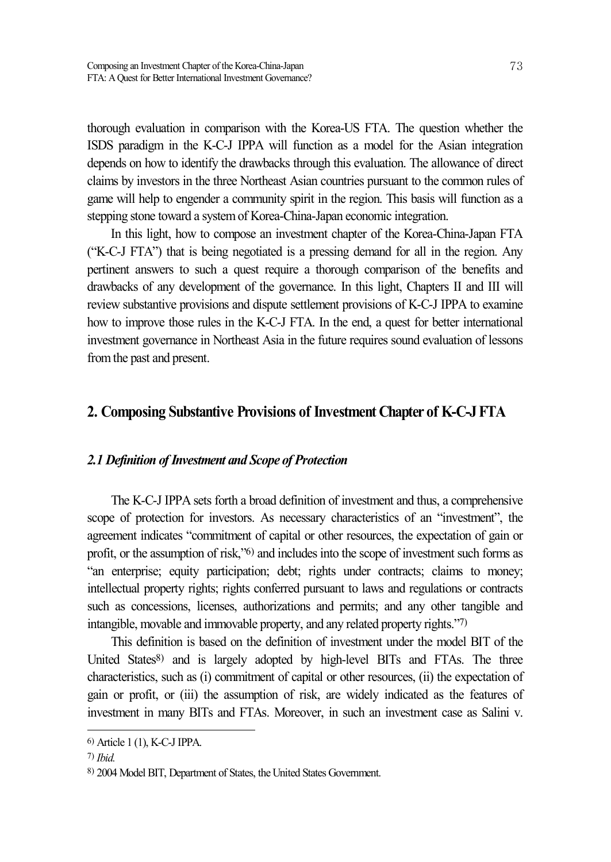thorough evaluation in comparison with the Korea-US FTA. The question whether the ISDS paradigm in the K-C-J IPPA will function as a model for the Asian integration depends on how to identify the drawbacks through this evaluation. The allowance of direct claims by investors in the three Northeast Asian countries pursuant to the common rules of game will help to engender a community spirit in the region. This basis will function as a stepping stone toward a systemof Korea-China-Japan economic integration.

In this light, how to compose an investment chapter of the Korea-China-Japan FTA ("K-C-J FTA") that is being negotiated is a pressing demand for all in the region. Any pertinent answers to such a quest require a thorough comparison of the benefits and drawbacks of any development of the governance. In this light, Chapters II and III will review substantive provisions and dispute settlement provisions of K-C-J IPPA to examine how to improve those rules in the K-C-J FTA. In the end, a quest for better international investment governance in Northeast Asia in the future requires sound evaluation of lessons fromthe past and present.

# **2. Composing Substantive Provisions of Investment Chapter of K-C-JFTA**

## *2.1 Definition ofInvestment and Scope of Protection*

The K-C-J IPPA sets forth a broad definition of investment and thus, a comprehensive scope of protection for investors. As necessary characteristics of an "investment", the agreement indicates "commitment of capital or other resources, the expectation of gain or profit, or the assumption of risk,"<sup>6</sup>) and includes into the scope of investment such forms as "an enterprise; equity participation; debt; rights under contracts; claims to money; intellectual property rights; rights conferred pursuant to laws and regulations or contracts such as concessions, licenses, authorizations and permits; and any other tangible and intangible, movable and immovable property, and any related property rights."7)

This definition is based on the definition of investment under the model BIT of the United States 8) and is largely adopted by high-level BITs and FTAs. The three characteristics, such as (i) commitment of capital or other resources, (ii) the expectation of gain or profit, or (iii) the assumption of risk, are widely indicated as the features of investment in many BITs and FTAs. Moreover, in such an investment case as Salini v.

<sup>6)</sup> Article 1 (1), K-C-JIPPA.

<sup>7)</sup> *Ibid.*

<sup>8)</sup> 2004 Model BIT, Department of States, the United States Government.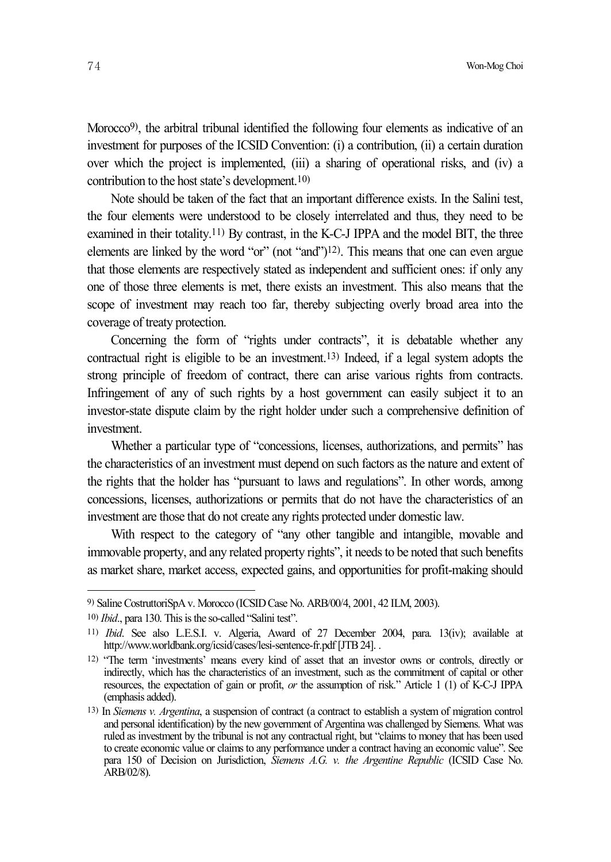Morocco<sup>9</sup>), the arbitral tribunal identified the following four elements as indicative of an investment for purposes of the ICSID Convention: (i) a contribution, (ii) a certain duration over which the project is implemented, (iii) a sharing of operational risks, and (iv) a contribution to the host state's development. 10)

Note should be taken of the fact that an important difference exists. In the Salini test, the four elements were understood to be closely interrelated and thus, they need to be examined in their totality. 11) By contrast, in the K-C-J IPPA and the model BIT, the three elements are linked by the word "or" (not "and")<sup>12)</sup>. This means that one can even argue that those elements are respectively stated as independent and sufficient ones: if only any one of those three elements is met, there exists an investment. This also means that the scope of investment may reach too far, thereby subjecting overly broad area into the coverage of treaty protection.

Concerning the form of "rights under contracts", it is debatable whether any contractual right is eligible to be an investment. 13) Indeed, if a legal system adopts the strong principle of freedom of contract, there can arise various rights from contracts. Infringement of any of such rights by a host government can easily subject it to an investor-state dispute claim by the right holder under such a comprehensive definition of investment.

Whether a particular type of "concessions, licenses, authorizations, and permits" has the characteristics of an investment must depend on such factors as the nature and extent of the rights that the holder has "pursuant to laws and regulations". In other words, among concessions, licenses, authorizations or permits that do not have the characteristics of an investment are those that do not create any rights protected under domestic law.

With respect to the category of "any other tangible and intangible, movable and immovable property, and any related property rights", it needs to be noted that such benefits as market share, market access, expected gains, and opportunities for profit-making should

<sup>9)</sup> Saline CostruttoriSpAv. Morocco (ICSIDCase No. ARB/00/4, 2001, 42 ILM, 2003).

<sup>10)</sup> *Ibid.*, para 130. This is the so-called "Salini test".

<sup>11)</sup> *Ibid*. See also L.E.S.I. v. Algeria, Award of 27 December 2004, para. 13(iv); available at http://www.worldbank.org/icsid/cases/lesi-sentence-fr.pdf [JTB 24]...

<sup>12)</sup> "The term 'investments' means every kind of asset that an investor owns or controls, directly or indirectly, which has the characteristics of an investment, such as the commitment of capital or other resources, the expectation of gain or profit, *or* the assumption of risk." Article 1 (1) of K-C-J IPPA (emphasis added).

<sup>13)</sup> In *Siemens v. Argentina*, a suspension of contract (a contract to establish a system of migration control and personal identification) by the new government of Argentina was challenged by Siemens. What was ruled as investment by the tribunal is not any contractual right, but "claims to money that has been used to create economic value or claims to any performance under a contract having an economic value". See para 150 of Decision on Jurisdiction, *Siemens A.G. v. the Argentine Republic* (ICSID Case No. ARB/02/8).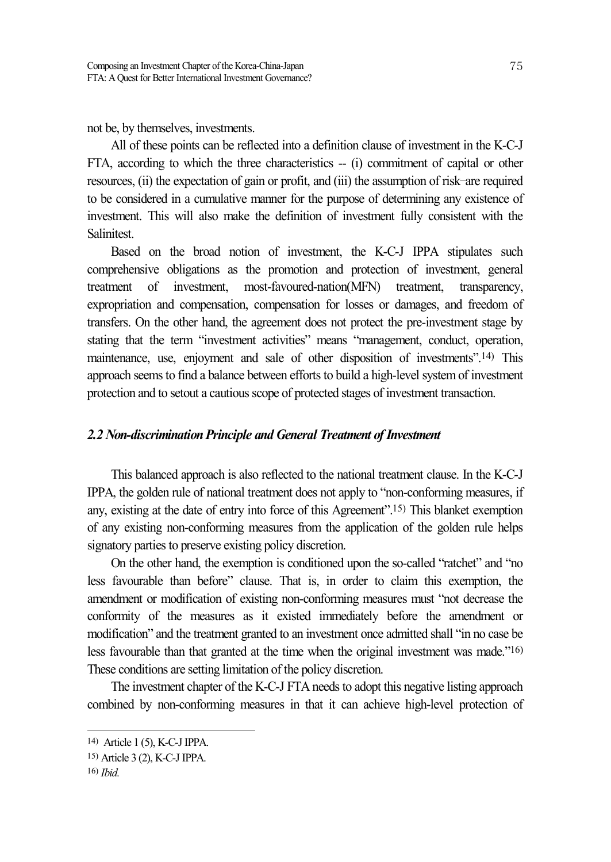not be, by themselves, investments.

All of these points can be reflected into a definition clause of investment in the K-C-J FTA, according to which the three characteristics -- (i) commitment of capital or other resources, (ii) the expectation of gain or profit, and (iii) the assumption of risk–are required to be considered in a cumulative manner for the purpose of determining any existence of investment. This will also make the definition of investment fully consistent with the **Salinitest** 

Based on the broad notion of investment, the K-C-J IPPA stipulates such comprehensive obligations as the promotion and protection of investment, general treatment of investment, most-favoured-nation(MFN) treatment, transparency, expropriation and compensation, compensation for losses or damages, and freedom of transfers. On the other hand, the agreement does not protect the pre-investment stage by stating that the term "investment activities" means "management, conduct, operation, maintenance, use, enjoyment and sale of other disposition of investments".<sup>14)</sup> This approach seemsto find a balance between efforts to build a high-level systemof investment protection and to setout a cautious scope of protected stages of investment transaction.

## *2.2 Non-discriminationPrinciple and General Treatment ofInvestment*

This balanced approach is also reflected to the national treatment clause. In the K-C-J IPPA, the golden rule of national treatment does not apply to "non-conforming measures, if any, existing at the date of entry into force of this Agreement". 15) This blanket exemption of any existing non-conforming measures from the application of the golden rule helps signatory parties to preserve existing policy discretion.

On the other hand, the exemption is conditioned upon the so-called "ratchet" and "no less favourable than before" clause. That is, in order to claim this exemption, the amendment or modification of existing non-conforming measures must "not decrease the conformity of the measures as it existed immediately before the amendment or modification" and the treatment granted to an investment once admitted shall "in no case be less favourable than that granted at the time when the original investment was made."16) These conditions are setting limitation of the policy discretion.

The investment chapter of the K-C-J FTA needs to adopt this negative listing approach combined by non-conforming measures in that it can achieve high-level protection of

<sup>14)</sup> Article 1 (5), K-C-JIPPA.

<sup>15)</sup> Article 3 (2), K-C-JIPPA.

<sup>16)</sup> *Ibid.*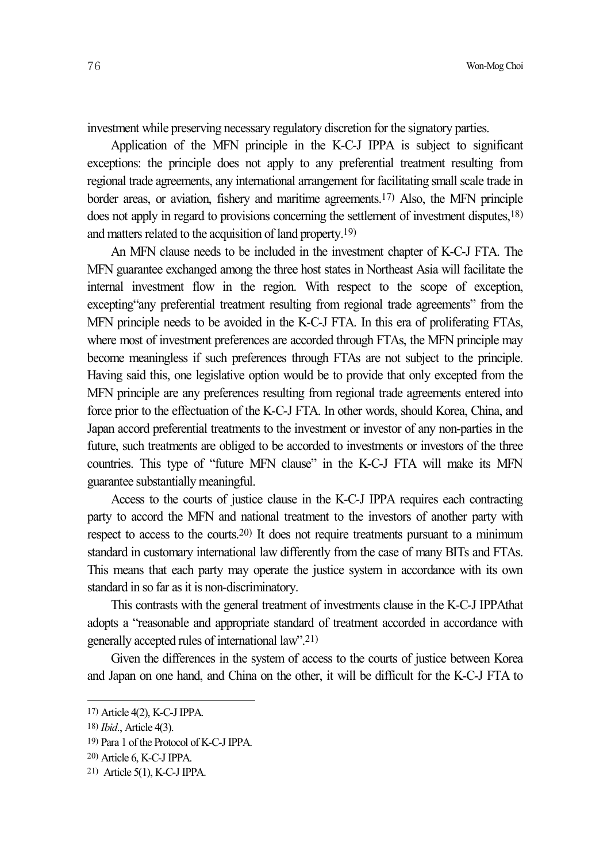investment while preserving necessary regulatory discretion for the signatory parties.

Application of the MFN principle in the K-C-J IPPA is subject to significant exceptions: the principle does not apply to any preferential treatment resulting from regional trade agreements, any international arrangement for facilitating small scale trade in border areas, or aviation, fishery and maritime agreements. 17) Also, the MFN principle does not apply in regard to provisions concerning the settlement of investment disputes, 18) and matters related to the acquisition of land property.<sup>19)</sup>

An MFN clause needs to be included in the investment chapter of K-C-J FTA. The MFN guarantee exchanged among the three host states in Northeast Asia will facilitate the internal investment flow in the region. With respect to the scope of exception, excepting"any preferential treatment resulting from regional trade agreements" from the MFN principle needs to be avoided in the K-C-J FTA. In this era of proliferating FTAs, where most of investment preferences are accorded through FTAs, the MFN principle may become meaningless if such preferences through FTAs are not subject to the principle. Having said this, one legislative option would be to provide that only excepted from the MFN principle are any preferences resulting from regional trade agreements entered into force prior to the effectuation of the K-C-J FTA. In other words, should Korea, China, and Japan accord preferential treatments to the investment or investor of any non-parties in the future, such treatments are obliged to be accorded to investments or investors of the three countries. This type of "future MFN clause" in the K-C-J FTA will make its MFN guarantee substantially meaningful.

Access to the courts of justice clause in the K-C-J IPPA requires each contracting party to accord the MFN and national treatment to the investors of another party with respect to access to the courts. 20) It does not require treatments pursuant to a minimum standard in customary international law differently from the case of many BITs and FTAs. This means that each party may operate the justice system in accordance with its own standard in so far as it is non-discriminatory.

This contrasts with the general treatment of investments clause in the K-C-J IPPAthat adopts a "reasonable and appropriate standard of treatment accorded in accordance with generally accepted rules of international law". 21)

Given the differences in the system of access to the courts of justice between Korea and Japan on one hand, and China on the other, it will be difficult for the K-C-J FTA to

<sup>17)</sup> Article 4(2), K-C-JIPPA.

<sup>18)</sup> *Ibid*., Article 4(3).

<sup>19)</sup> Para 1 of the Protocol of K-C-JIPPA.

<sup>20)</sup> Article 6, K-C-JIPPA.

<sup>21)</sup> Article 5(1), K-C-JIPPA.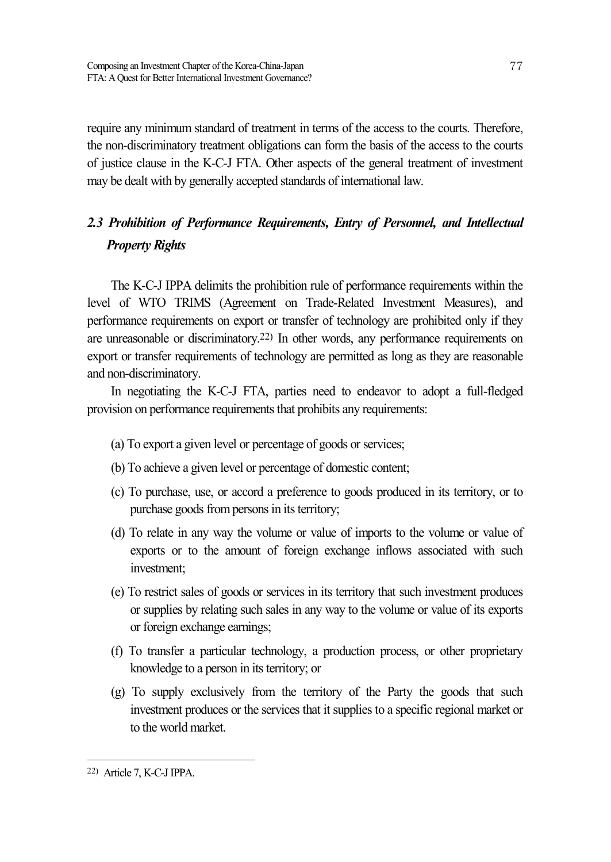require any minimum standard of treatment in terms of the access to the courts. Therefore, the non-discriminatory treatment obligations can form the basis of the access to the courts of justice clause in the K-C-J FTA. Other aspects of the general treatment of investment may be dealt with by generally accepted standards of international law.

# *2.3 Prohibition of Performance Requirements, Entry of Personnel, and Intellectual Property Rights*

The K-C-J IPPA delimits the prohibition rule of performance requirements within the level of WTO TRIMS (Agreement on Trade-Related Investment Measures), and performance requirements on export or transfer of technology are prohibited only if they are unreasonable or discriminatory. 22) In other words, any performance requirements on export or transfer requirements of technology are permitted as long as they are reasonable and non-discriminatory.

In negotiating the K-C-J FTA, parties need to endeavor to adopt a full-fledged provision on performance requirements that prohibits any requirements:

- (a) To export a given level or percentage of goods or services;
- (b) To achieve a given level or percentage of domestic content;
- (c) To purchase, use, or accord a preference to goods produced in its territory, or to purchase goods from persons in its territory;
- (d) To relate in any way the volume or value of imports to the volume or value of exports or to the amount of foreign exchange inflows associated with such investment;
- (e) To restrict sales of goods or services in its territory that such investment produces or supplies by relating such sales in any way to the volume or value of its exports or foreign exchange earnings;
- (f) To transfer a particular technology, a production process, or other proprietary knowledge to a person in its territory; or
- (g) To supply exclusively from the territory of the Party the goods that such investment produces or the services that it supplies to a specific regional market or to the world market.

<sup>22)</sup> Article 7, K-C-JIPPA.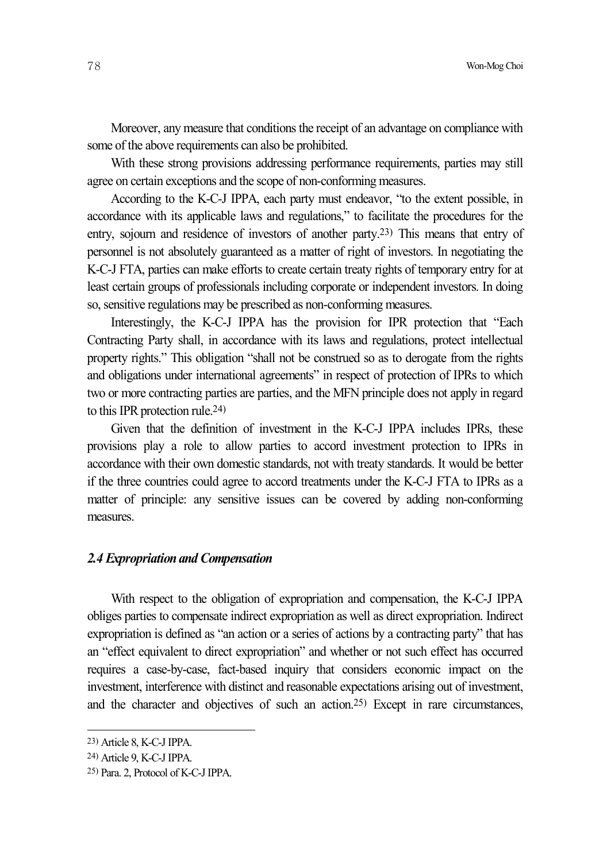Moreover, any measure that conditions the receipt of an advantage on compliance with some of the above requirements can also be prohibited.

With these strong provisions addressing performance requirements, parties may still agree on certain exceptions and the scope of non-conforming measures.

According to the K-C-J IPPA, each party must endeavor, "to the extent possible, in accordance with its applicable laws and regulations," to facilitate the procedures for the entry, sojourn and residence of investors of another party. 23) This means that entry of personnel is not absolutely guaranteed as a matter of right of investors. In negotiating the K-C-J FTA, parties can make efforts to create certain treaty rights of temporary entry for at least certain groups of professionals including corporate or independent investors. In doing so, sensitive regulations may be prescribed as non-conforming measures.

Interestingly, the K-C-J IPPA has the provision for IPR protection that "Each Contracting Party shall, in accordance with its laws and regulations, protect intellectual property rights." This obligation "shall not be construed so as to derogate from the rights and obligations under international agreements" in respect of protection of IPRs to which two or more contracting parties are parties, and the MFN principle does not apply in regard to this IPR protection rule.<sup>24)</sup>

Given that the definition of investment in the K-C-J IPPA includes IPRs, these provisions play a role to allow parties to accord investment protection to IPRs in accordance with their own domestic standards, not with treaty standards. It would be better if the three countries could agree to accord treatments under the K-C-J FTA to IPRs as a matter of principle: any sensitive issues can be covered by adding non-conforming measures.

## *2.4 Expropriation and Compensation*

With respect to the obligation of expropriation and compensation, the K-C-J IPPA obliges parties to compensate indirect expropriation as well as direct expropriation. Indirect expropriation is defined as "an action or a series of actions by a contracting party" that has an "effect equivalent to direct expropriation" and whether or not such effect has occurred requires a case-by-case, fact-based inquiry that considers economic impact on the investment, interference with distinct and reasonable expectations arising out of investment, and the character and objectives of such an action. 25) Except in rare circumstances,

<sup>23)</sup> Article 8, K-C-JIPPA.

<sup>24)</sup> Article 9, K-C-JIPPA.

<sup>25)</sup> Para. 2, Protocol of K-C-JIPPA.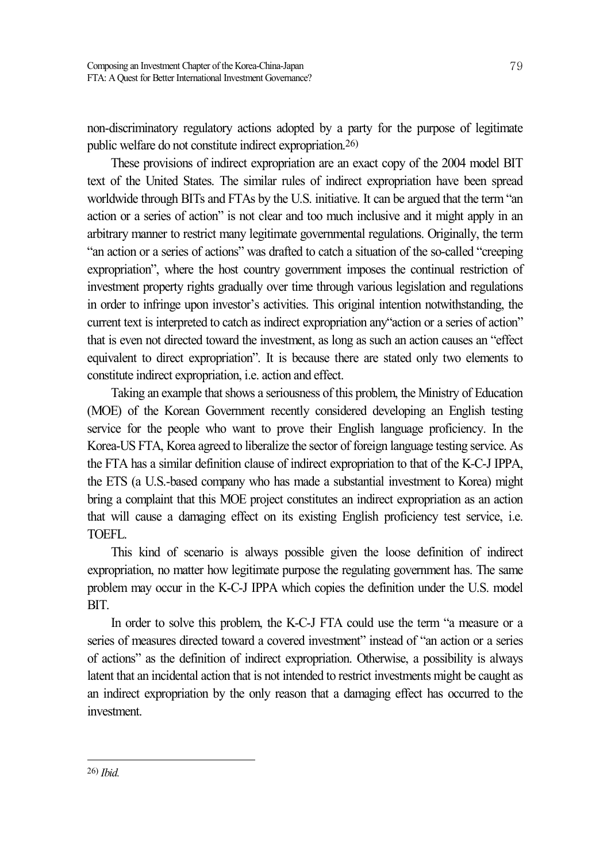non-discriminatory regulatory actions adopted by a party for the purpose of legitimate public welfare do not constitute indirect expropriation. 26)

These provisions of indirect expropriation are an exact copy of the 2004 model BIT text of the United States. The similar rules of indirect expropriation have been spread worldwide through BITs and FTAs by the U.S. initiative. It can be argued that the term "an action or a series of action" is not clear and too much inclusive and it might apply in an arbitrary manner to restrict many legitimate governmental regulations. Originally, the term "an action or a series of actions" was drafted to catch a situation of the so-called "creeping expropriation", where the host country government imposes the continual restriction of investment property rights gradually over time through various legislation and regulations in order to infringe upon investor's activities. This original intention notwithstanding, the current text is interpreted to catch as indirect expropriation any"action or a series of action" that is even not directed toward the investment, as long as such an action causes an "effect equivalent to direct expropriation". It is because there are stated only two elements to constitute indirect expropriation, i.e. action and effect.

Taking an example that shows a seriousness of this problem, the Ministry of Education (MOE) of the Korean Government recently considered developing an English testing service for the people who want to prove their English language proficiency. In the Korea-US FTA, Korea agreed to liberalize the sector of foreign language testing service. As the FTA has a similar definition clause of indirect expropriation to that of the K-C-J IPPA, the ETS (a U.S.-based company who has made a substantial investment to Korea) might bring a complaint that this MOE project constitutes an indirect expropriation as an action that will cause a damaging effect on its existing English proficiency test service, i.e. TOEFL.

This kind of scenario is always possible given the loose definition of indirect expropriation, no matter how legitimate purpose the regulating government has. The same problem may occur in the K-C-J IPPA which copies the definition under the U.S. model **BIT.** 

In order to solve this problem, the K-C-J FTA could use the term "a measure or a series of measures directed toward a covered investment" instead of "an action or a series of actions" as the definition of indirect expropriation. Otherwise, a possibility is always latent that an incidental action that is not intended to restrict investments might be caught as an indirect expropriation by the only reason that a damaging effect has occurred to the investment.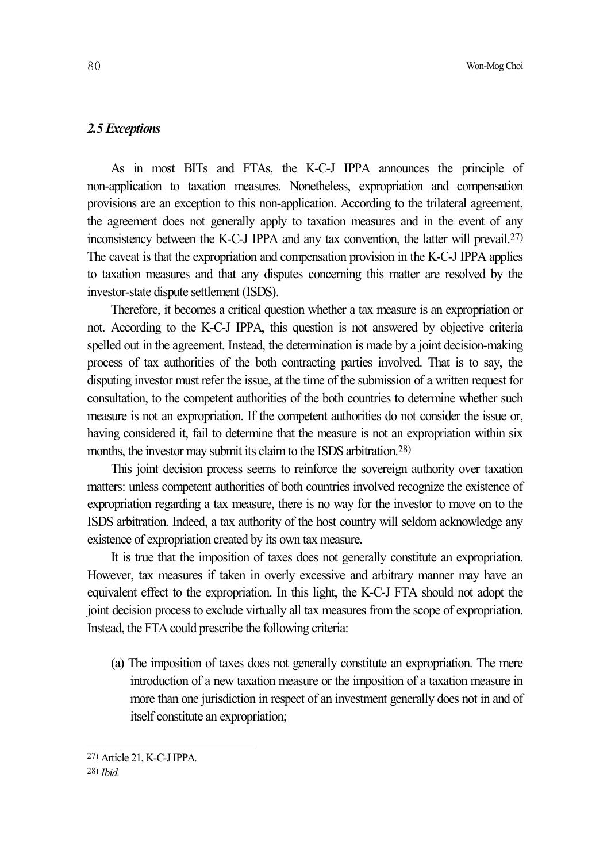### *2.5 Exceptions*

As in most BITs and FTAs, the K-C-J IPPA announces the principle of non-application to taxation measures. Nonetheless, expropriation and compensation provisions are an exception to this non-application. According to the trilateral agreement, the agreement does not generally apply to taxation measures and in the event of any inconsistency between the K-C-J IPPA and any tax convention, the latter will prevail. 27) The caveat is that the expropriation and compensation provision in the K-C-J IPPA applies to taxation measures and that any disputes concerning this matter are resolved by the investor-state dispute settlement (ISDS).

Therefore, it becomes a critical question whether a tax measure is an expropriation or not. According to the K-C-J IPPA, this question is not answered by objective criteria spelled out in the agreement. Instead, the determination is made by a joint decision-making process of tax authorities of the both contracting parties involved. That is to say, the disputing investor must refer the issue, at the time of the submission of a written request for consultation, to the competent authorities of the both countries to determine whether such measure is not an expropriation. If the competent authorities do not consider the issue or, having considered it, fail to determine that the measure is not an expropriation within six months, the investor may submit its claim to the ISDS arbitration.<sup>28)</sup>

This joint decision process seems to reinforce the sovereign authority over taxation matters: unless competent authorities of both countries involved recognize the existence of expropriation regarding a tax measure, there is no way for the investor to move on to the ISDS arbitration. Indeed, a tax authority of the host country will seldom acknowledge any existence of expropriation created by its own tax measure.

It is true that the imposition of taxes does not generally constitute an expropriation. However, tax measures if taken in overly excessive and arbitrary manner may have an equivalent effect to the expropriation. In this light, the K-C-J FTA should not adopt the joint decision process to exclude virtually all tax measures from the scope of expropriation. Instead, the FTA could prescribe the following criteria:

(a) The imposition of taxes does not generally constitute an expropriation. The mere introduction of a new taxation measure or the imposition of a taxation measure in more than one jurisdiction in respect of an investment generally does not in and of itself constitute an expropriation;

<sup>27)</sup> Article 21, K-C-JIPPA.

<sup>28)</sup> *Ibid.*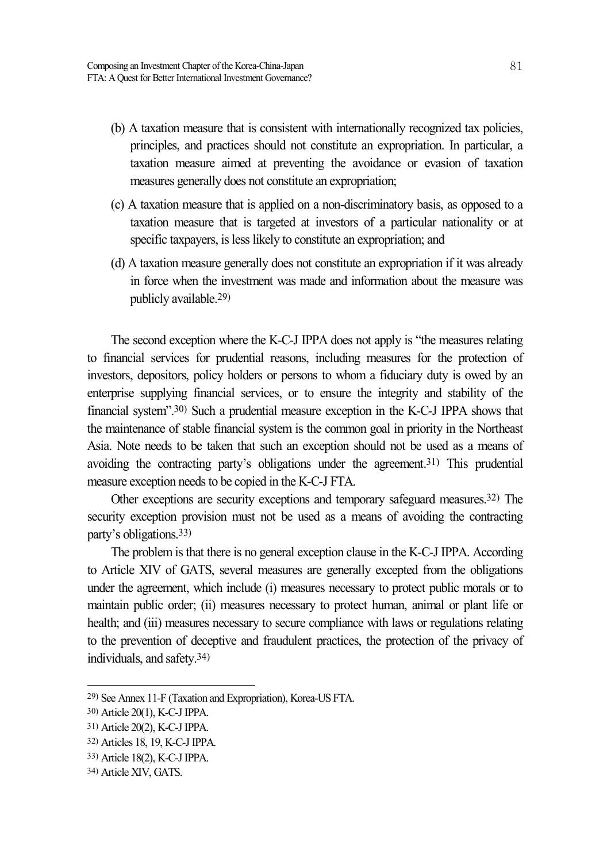- (b) A taxation measure that is consistent with internationally recognized tax policies, principles, and practices should not constitute an expropriation. In particular, a taxation measure aimed at preventing the avoidance or evasion of taxation measures generally does not constitute an expropriation;
- (c) A taxation measure that is applied on a non-discriminatory basis, as opposed to a taxation measure that is targeted at investors of a particular nationality or at specific taxpayers, is less likely to constitute an expropriation; and
- (d) A taxation measure generally does not constitute an expropriation if it was already in force when the investment was made and information about the measure was publicly available. 29)

The second exception where the K-C-J IPPA does not apply is "the measures relating to financial services for prudential reasons, including measures for the protection of investors, depositors, policy holders or persons to whom a fiduciary duty is owed by an enterprise supplying financial services, or to ensure the integrity and stability of the financial system".<sup>30</sup> Such a prudential measure exception in the K-C-J IPPA shows that the maintenance of stable financial system is the common goal in priority in the Northeast Asia. Note needs to be taken that such an exception should not be used as a means of avoiding the contracting party's obligations under the agreement. 31) This prudential measure exception needs to be copied in the K-C-J FTA.

Other exceptions are security exceptions and temporary safeguard measures. 32) The security exception provision must not be used as a means of avoiding the contracting party's obligations. 33)

The problem is that there is no general exception clause in the K-C-J IPPA. According to Article XIV of GATS, several measures are generally excepted from the obligations under the agreement, which include (i) measures necessary to protect public morals or to maintain public order; (ii) measures necessary to protect human, animal or plant life or health; and (iii) measures necessary to secure compliance with laws or regulations relating to the prevention of deceptive and fraudulent practices, the protection of the privacy of individuals, and safety. 34)

<sup>29)</sup> See Annex 11-F (Taxation and Expropriation), Korea-US FTA.

<sup>30)</sup> Article 20(1), K-C-JIPPA.

<sup>31)</sup> Article 20(2), K-C-JIPPA.

<sup>32)</sup> Articles 18, 19, K-C-JIPPA.

<sup>33)</sup> Article 18(2), K-C-JIPPA.

<sup>34)</sup> Article XIV, GATS.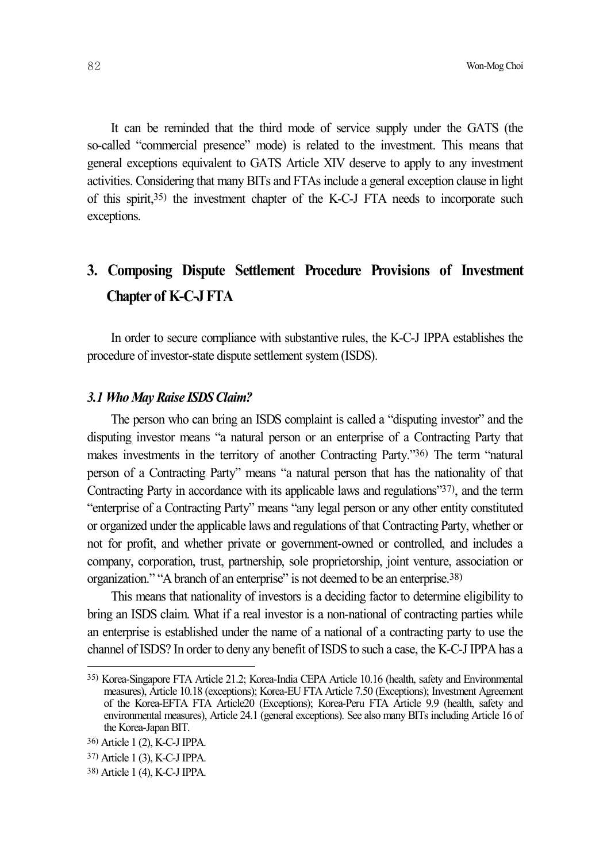It can be reminded that the third mode of service supply under the GATS (the so-called "commercial presence" mode) is related to the investment. This means that general exceptions equivalent to GATS Article XIV deserve to apply to any investment activities. Considering that many BITs and FTAs include a general exception clause in light of this spirit, 35) the investment chapter of the K-C-J FTA needs to incorporate such exceptions.

# **3. Composing Dispute Settlement Procedure Provisions of Investment Chapter of K-C-JFTA**

In order to secure compliance with substantive rules, the K-C-J IPPA establishes the procedure of investor-state dispute settlement system(ISDS).

#### *3.1 Who May Raise ISDSClaim?*

The person who can bring an ISDS complaint is called a "disputing investor" and the disputing investor means "a natural person or an enterprise of a Contracting Party that makes investments in the territory of another Contracting Party."36) The term "natural person of a Contracting Party" means "a natural person that has the nationality of that Contracting Party in accordance with its applicable laws and regulations"37) , and the term "enterprise of a Contracting Party" means "any legal person or any other entity constituted or organized under the applicable laws and regulations of that Contracting Party, whether or not for profit, and whether private or government-owned or controlled, and includes a company, corporation, trust, partnership, sole proprietorship, joint venture, association or organization." "A branch of an enterprise" is not deemed to be an enterprise.<sup>38)</sup>

This means that nationality of investors is a deciding factor to determine eligibility to bring an ISDS claim. What if a real investor is a non-national of contracting parties while an enterprise is established under the name of a national of a contracting party to use the channel of ISDS? In order to deny any benefit of ISDS to such a case, the K-C-J IPPA has a

<sup>35)</sup> Korea-Singapore FTA Article 21.2; Korea-India CEPA Article 10.16 (health, safety and Environmental measures), Article 10.18 (exceptions); Korea-EU FTA Article 7.50 (Exceptions); Investment Agreement of the Korea-EFTA FTA Article20 (Exceptions); Korea-Peru FTA Article 9.9 (health, safety and environmental measures), Article 24.1 (general exceptions). See also many BITs including Article 16 of the Korea-Japan BIT.

<sup>36)</sup> Article 1 (2), K-C-JIPPA.

<sup>37)</sup> Article 1 (3), K-C-JIPPA.

<sup>38)</sup> Article 1 (4), K-C-JIPPA.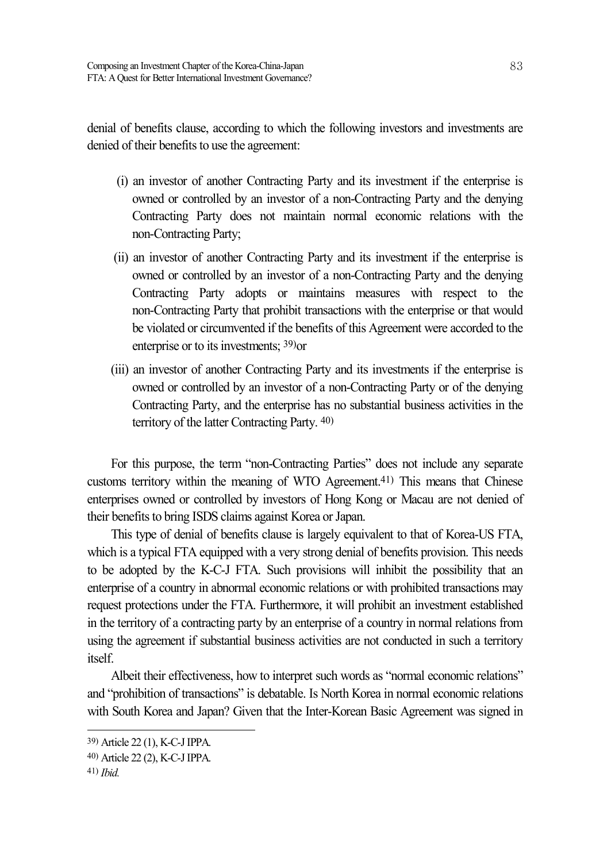denial of benefits clause, according to which the following investors and investments are denied of their benefits to use the agreement:

- (i) an investor of another Contracting Party and its investment if the enterprise is owned or controlled by an investor of a non-Contracting Party and the denying Contracting Party does not maintain normal economic relations with the non-Contracting Party;
- (ii) an investor of another Contracting Party and its investment if the enterprise is owned or controlled by an investor of a non-Contracting Party and the denying Contracting Party adopts or maintains measures with respect to the non-Contracting Party that prohibit transactions with the enterprise or that would be violated or circumvented if the benefits of this Agreement were accorded to the enterprise or to its investments; 39) or
- (iii) an investor of another Contracting Party and its investments if the enterprise is owned or controlled by an investor of a non-Contracting Party or of the denying Contracting Party, and the enterprise has no substantial business activities in the territory of the latter Contracting Party. 40)

For this purpose, the term "non-Contracting Parties" does not include any separate customs territory within the meaning of WTO Agreement. 41) This means that Chinese enterprises owned or controlled by investors of Hong Kong or Macau are not denied of their benefits to bring ISDS claims against Korea or Japan.

This type of denial of benefits clause is largely equivalent to that of Korea-US FTA, which is a typical FTA equipped with a very strong denial of benefits provision. This needs to be adopted by the K-C-J FTA. Such provisions will inhibit the possibility that an enterprise of a country in abnormal economic relations or with prohibited transactions may request protections under the FTA. Furthermore, it will prohibit an investment established in the territory of a contracting party by an enterprise of a country in normal relations from using the agreement if substantial business activities are not conducted in such a territory itself.

Albeit their effectiveness, how to interpret such words as "normal economic relations" and "prohibition of transactions" is debatable. Is North Korea in normal economic relations with South Korea and Japan? Given that the Inter-Korean Basic Agreement was signed in

<sup>39)</sup> Article 22 (1), K-C-JIPPA.

<sup>40)</sup> Article 22 (2), K-C-JIPPA.

<sup>41)</sup> *Ibid.*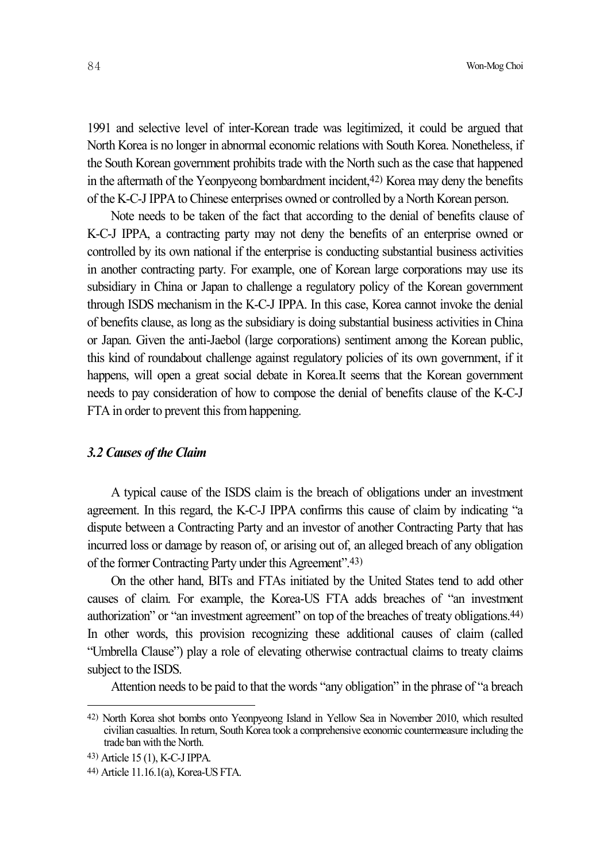1991 and selective level of inter-Korean trade was legitimized, it could be argued that North Korea is no longer in abnormal economic relations with South Korea. Nonetheless, if the South Korean government prohibits trade with the North such as the case that happened in the aftermath of the Yeonpyeong bombardment incident, 42) Korea may deny the benefits of the K-C-JIPPA to Chinese enterprises owned or controlled by a North Korean person.

Note needs to be taken of the fact that according to the denial of benefits clause of K-C-J IPPA, a contracting party may not deny the benefits of an enterprise owned or controlled by its own national if the enterprise is conducting substantial business activities in another contracting party. For example, one of Korean large corporations may use its subsidiary in China or Japan to challenge a regulatory policy of the Korean government through ISDS mechanism in the K-C-J IPPA. In this case, Korea cannot invoke the denial of benefits clause, as long as the subsidiary is doing substantial business activities in China or Japan. Given the anti-Jaebol (large corporations) sentiment among the Korean public, this kind of roundabout challenge against regulatory policies of its own government, if it happens, will open a great social debate in Korea.It seems that the Korean government needs to pay consideration of how to compose the denial of benefits clause of the K-C-J FTA in order to prevent this from happening.

### *3.2 Causes of the Claim*

A typical cause of the ISDS claim is the breach of obligations under an investment agreement. In this regard, the K-C-J IPPA confirms this cause of claim by indicating "a dispute between a Contracting Party and an investor of another Contracting Party that has incurred loss or damage by reason of, or arising out of, an alleged breach of any obligation of the former Contracting Party under this Agreement". 43)

On the other hand, BITs and FTAs initiated by the United States tend to add other causes of claim. For example, the Korea-US FTA adds breaches of "an investment authorization" or "an investment agreement" on top of the breaches of treaty obligations. 44) In other words, this provision recognizing these additional causes of claim (called "Umbrella Clause") play a role of elevating otherwise contractual claims to treaty claims subject to the ISDS.

Attention needs to be paid to that the words "any obligation" in the phrase of "a breach

<sup>42)</sup> North Korea shot bombs onto Yeonpyeong Island in Yellow Sea in November 2010, which resulted civilian casualties. In return, South Korea took a comprehensive economic countermeasure including the trade ban with the North.

<sup>43)</sup> Article 15 (1), K-C-JIPPA.

<sup>44)</sup> Article 11.16.1(a), Korea-US FTA.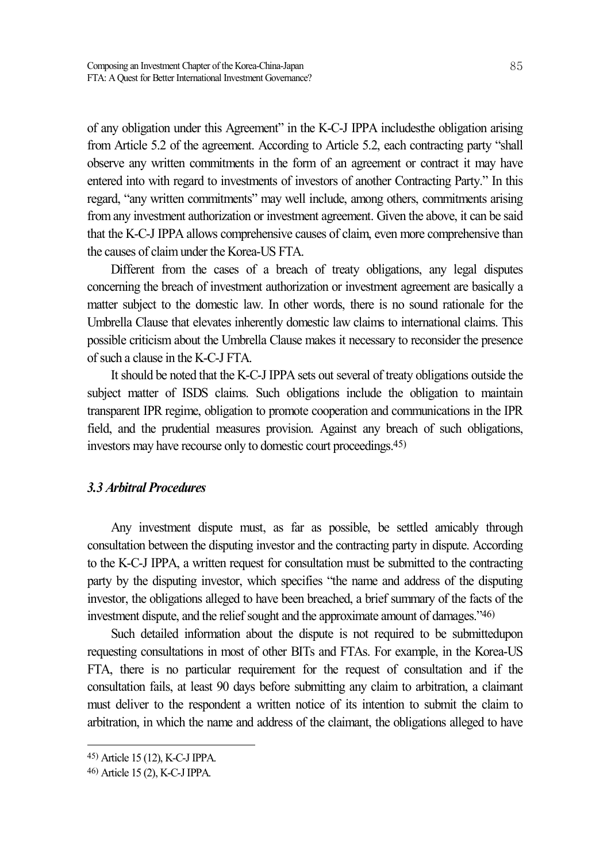of any obligation under this Agreement" in the K-C-J IPPA includesthe obligation arising from Article 5.2 of the agreement. According to Article 5.2, each contracting party "shall observe any written commitments in the form of an agreement or contract it may have entered into with regard to investments of investors of another Contracting Party." In this regard, "any written commitments" may well include, among others, commitments arising fromany investment authorization or investment agreement. Given the above, it can be said that the K-C-J IPPA allows comprehensive causes of claim, even more comprehensive than the causes of claimunder the Korea-US FTA.

Different from the cases of a breach of treaty obligations, any legal disputes concerning the breach of investment authorization or investment agreement are basically a matter subject to the domestic law. In other words, there is no sound rationale for the Umbrella Clause that elevates inherently domestic law claims to international claims. This possible criticism about the Umbrella Clause makes it necessary to reconsider the presence of such a clause in the K-C-J FTA.

It should be noted that the K-C-J IPPA sets out several of treaty obligations outside the subject matter of ISDS claims. Such obligations include the obligation to maintain transparent IPR regime, obligation to promote cooperation and communications in the IPR field, and the prudential measures provision. Against any breach of such obligations, investors may have recourse only to domestic court proceedings. 45)

# *3.3 Arbitral Procedures*

Any investment dispute must, as far as possible, be settled amicably through consultation between the disputing investor and the contracting party in dispute. According to the K-C-J IPPA, a written request for consultation must be submitted to the contracting party by the disputing investor, which specifies "the name and address of the disputing investor, the obligations alleged to have been breached, a brief summary of the facts of the investment dispute, and the relief sought and the approximate amount of damages."46)

Such detailed information about the dispute is not required to be submittedupon requesting consultations in most of other BITs and FTAs. For example, in the Korea-US FTA, there is no particular requirement for the request of consultation and if the consultation fails, at least 90 days before submitting any claim to arbitration, a claimant must deliver to the respondent a written notice of its intention to submit the claim to arbitration, in which the name and address of the claimant, the obligations alleged to have

<sup>45)</sup> Article 15 (12), K-C-JIPPA.

<sup>46)</sup> Article 15 (2), K-C-JIPPA.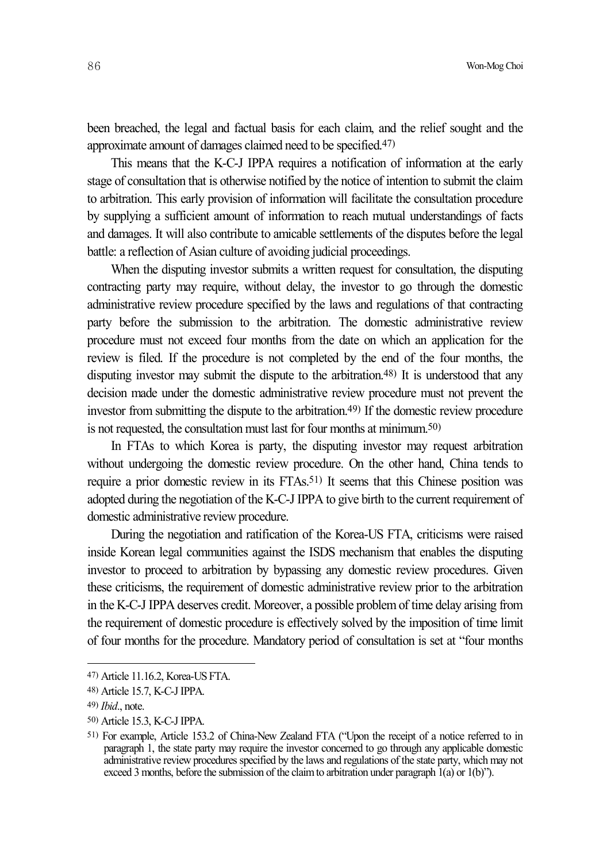been breached, the legal and factual basis for each claim, and the relief sought and the approximate amount of damages claimed need to be specified. 47)

This means that the K-C-J IPPA requires a notification of information at the early stage of consultation that is otherwise notified by the notice of intention to submit the claim to arbitration. This early provision of information will facilitate the consultation procedure by supplying a sufficient amount of information to reach mutual understandings of facts and damages. It will also contribute to amicable settlements of the disputes before the legal battle: a reflection of Asian culture of avoiding judicial proceedings.

When the disputing investor submits a written request for consultation, the disputing contracting party may require, without delay, the investor to go through the domestic administrative review procedure specified by the laws and regulations of that contracting party before the submission to the arbitration. The domestic administrative review procedure must not exceed four months from the date on which an application for the review is filed. If the procedure is not completed by the end of the four months, the disputing investor may submit the dispute to the arbitration. 48) It is understood that any decision made under the domestic administrative review procedure must not prevent the investor from submitting the dispute to the arbitration. 49) If the domestic review procedure is not requested, the consultation must last for four months at minimum. 50)

In FTAs to which Korea is party, the disputing investor may request arbitration without undergoing the domestic review procedure. On the other hand, China tends to require a prior domestic review in its FTAs. 51) It seems that this Chinese position was adopted during the negotiation of the K-C-JIPPA to give birth to the current requirement of domestic administrative review procedure.

During the negotiation and ratification of the Korea-US FTA, criticisms were raised inside Korean legal communities against the ISDS mechanism that enables the disputing investor to proceed to arbitration by bypassing any domestic review procedures. Given these criticisms, the requirement of domestic administrative review prior to the arbitration in the K-C-J IPPA deserves credit. Moreover, a possible problemof time delay arising from the requirement of domestic procedure is effectively solved by the imposition of time limit of four months for the procedure. Mandatory period of consultation is set at "four months

<sup>47)</sup> Article 11.16.2, Korea-US FTA.

<sup>48)</sup> Article 15.7, K-C-JIPPA.

<sup>49)</sup> *Ibid*., note.

<sup>50)</sup> Article 15.3, K-C-JIPPA.

<sup>51)</sup> For example, Article 153.2 of China-New Zealand FTA ("Upon the receipt of a notice referred to in paragraph 1, the state party may require the investor concerned to go through any applicable domestic administrative review proceduresspecified by the laws and regulations of the state party, which may not exceed 3 months, before the submission of the claim to arbitration under paragraph 1(a) or 1(b)").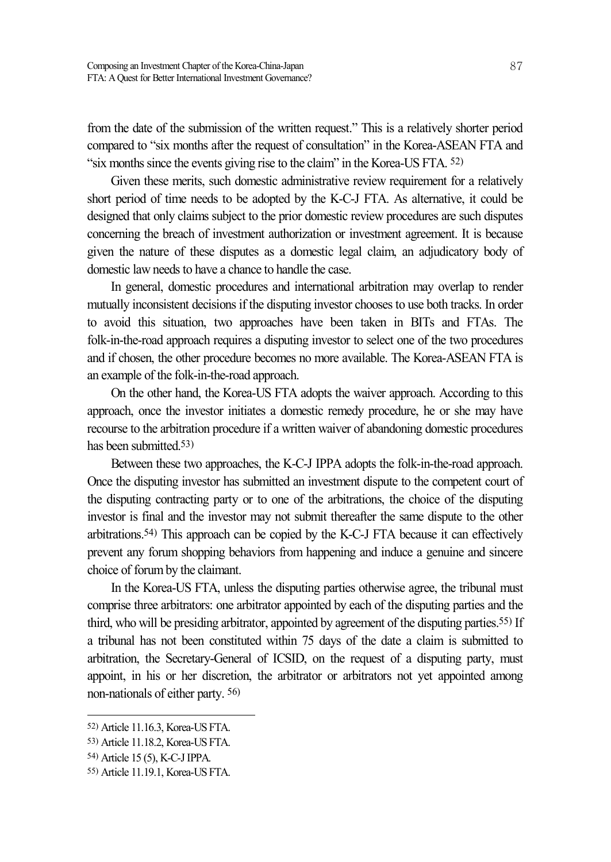from the date of the submission of the written request." This is a relatively shorter period compared to "six months after the request of consultation" in the Korea-ASEAN FTA and "six months since the events giving rise to the claim" in the Korea-US FTA. <sup>52)</sup>

Given these merits, such domestic administrative review requirement for a relatively short period of time needs to be adopted by the K-C-J FTA. As alternative, it could be designed that only claims subject to the prior domestic review procedures are such disputes concerning the breach of investment authorization or investment agreement. It is because given the nature of these disputes as a domestic legal claim, an adjudicatory body of domestic law needs to have a chance to handle the case.

In general, domestic procedures and international arbitration may overlap to render mutually inconsistent decisions if the disputing investor chooses to use both tracks. In order to avoid this situation, two approaches have been taken in BITs and FTAs. The folk-in-the-road approach requires a disputing investor to select one of the two procedures and if chosen, the other procedure becomes no more available. The Korea-ASEAN FTA is an example of the folk-in-the-road approach.

On the other hand, the Korea-US FTA adopts the waiver approach. According to this approach, once the investor initiates a domestic remedy procedure, he or she may have recourse to the arbitration procedure if a written waiver of abandoning domestic procedures has been submitted. 53)

Between these two approaches, the K-C-J IPPA adopts the folk-in-the-road approach. Once the disputing investor has submitted an investment dispute to the competent court of the disputing contracting party or to one of the arbitrations, the choice of the disputing investor is final and the investor may not submit thereafter the same dispute to the other arbitrations. 54) This approach can be copied by the K-C-J FTA because it can effectively prevent any forum shopping behaviors from happening and induce a genuine and sincere choice of forumby the claimant.

In the Korea-US FTA, unless the disputing parties otherwise agree, the tribunal must comprise three arbitrators: one arbitrator appointed by each of the disputing parties and the third, who will be presiding arbitrator, appointed by agreement of the disputing parties. 55) If a tribunal has not been constituted within 75 days of the date a claim is submitted to arbitration, the Secretary-General of ICSID, on the request of a disputing party, must appoint, in his or her discretion, the arbitrator or arbitrators not yet appointed among non-nationals of either party. 56)

<sup>52)</sup> Article 11.16.3, Korea-US FTA.

<sup>53)</sup> Article 11.18.2, Korea-US FTA.

<sup>54)</sup> Article 15 (5), K-C-JIPPA.

<sup>55)</sup> Article 11.19.1, Korea-US FTA.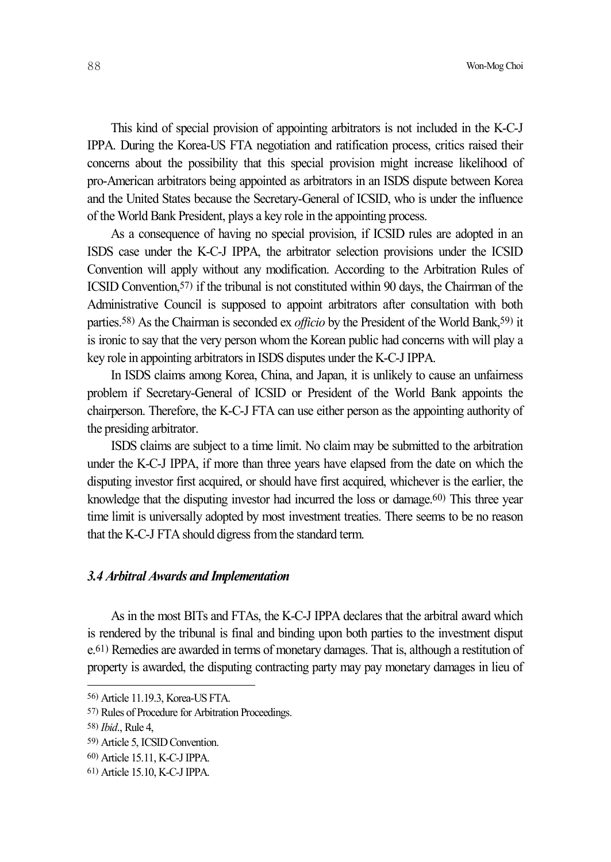This kind of special provision of appointing arbitrators is not included in the K-C-J IPPA. During the Korea-US FTA negotiation and ratification process, critics raised their concerns about the possibility that this special provision might increase likelihood of pro-American arbitrators being appointed as arbitrators in an ISDS dispute between Korea and the United States because the Secretary-General of ICSID, who is under the influence of the World Bank President, plays a key role in the appointing process.

As a consequence of having no special provision, if ICSID rules are adopted in an ISDS case under the K-C-J IPPA, the arbitrator selection provisions under the ICSID Convention will apply without any modification. According to the Arbitration Rules of ICSID Convention, 57) if the tribunal is not constituted within 90 days, the Chairman of the Administrative Council is supposed to appoint arbitrators after consultation with both parties.<sup>58</sup> As the Chairman is seconded ex *officio* by the President of the World Bank,<sup>59</sup> it is ironic to say that the very person whom the Korean public had concerns with will play a key role in appointing arbitrators in ISDS disputes under the K-C-J IPPA.

In ISDS claims among Korea, China, and Japan, it is unlikely to cause an unfairness problem if Secretary-General of ICSID or President of the World Bank appoints the chairperson. Therefore, the K-C-J FTA can use either person as the appointing authority of the presiding arbitrator.

ISDS claims are subject to a time limit. No claim may be submitted to the arbitration under the K-C-J IPPA, if more than three years have elapsed from the date on which the disputing investor first acquired, or should have first acquired, whichever is the earlier, the knowledge that the disputing investor had incurred the loss or damage. 60) This three year time limit is universally adopted by most investment treaties. There seems to be no reason that the K-C-J FTA should digress from the standard term.

### *3.4 Arbitral Awards and Implementation*

As in the most BITs and FTAs, the K-C-J IPPA declares that the arbitral award which is rendered by the tribunal is final and binding upon both parties to the investment disput e. 61) Remedies are awarded in terms of monetary damages. That is, although a restitution of property is awarded, the disputing contracting party may pay monetary damages in lieu of

<sup>56)</sup> Article 11.19.3, Korea-US FTA.

<sup>57)</sup> Rules of Procedure for Arbitration Proceedings.

<sup>58)</sup> *Ibid*., Rule 4,

<sup>59)</sup> Article 5, ICSIDConvention.

<sup>60)</sup> Article 15.11, K-C-JIPPA.

<sup>61)</sup> Article 15.10, K-C-JIPPA.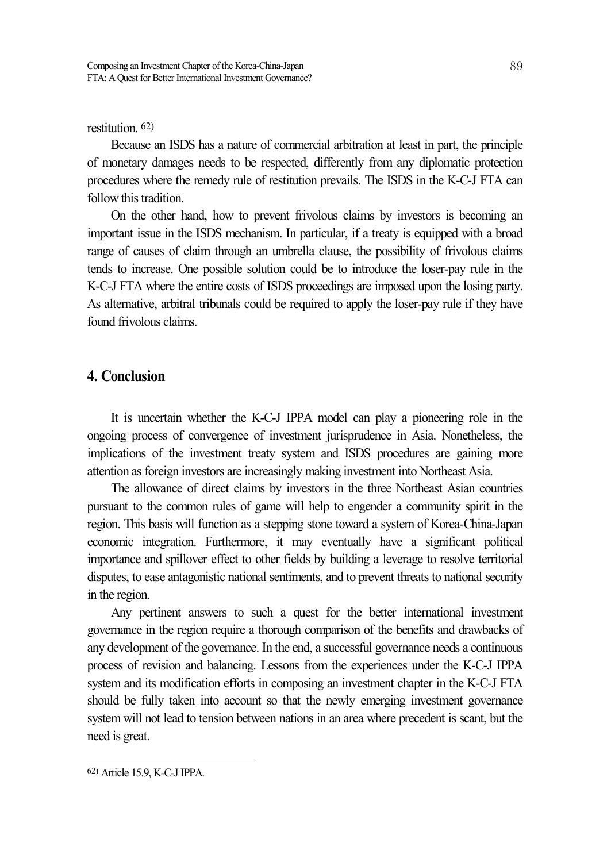### restitution. 62)

Because an ISDS has a nature of commercial arbitration at least in part, the principle of monetary damages needs to be respected, differently from any diplomatic protection procedures where the remedy rule of restitution prevails. The ISDS in the K-C-J FTA can follow this tradition.

On the other hand, how to prevent frivolous claims by investors is becoming an important issue in the ISDS mechanism. In particular, if a treaty is equipped with a broad range of causes of claim through an umbrella clause, the possibility of frivolous claims tends to increase. One possible solution could be to introduce the loser-pay rule in the K-C-J FTA where the entire costs of ISDS proceedings are imposed upon the losing party. As alternative, arbitral tribunals could be required to apply the loser-pay rule if they have found frivolous claims.

# **4. Conclusion**

It is uncertain whether the K-C-J IPPA model can play a pioneering role in the ongoing process of convergence of investment jurisprudence in Asia. Nonetheless, the implications of the investment treaty system and ISDS procedures are gaining more attention as foreign investors are increasingly making investment into Northeast Asia.

The allowance of direct claims by investors in the three Northeast Asian countries pursuant to the common rules of game will help to engender a community spirit in the region. This basis will function as a stepping stone toward a system of Korea-China-Japan economic integration. Furthermore, it may eventually have a significant political importance and spillover effect to other fields by building a leverage to resolve territorial disputes, to ease antagonistic national sentiments, and to prevent threats to national security in the region.

Any pertinent answers to such a quest for the better international investment governance in the region require a thorough comparison of the benefits and drawbacks of any development of the governance. In the end, a successful governance needs a continuous process of revision and balancing. Lessons from the experiences under the K-C-J IPPA system and its modification efforts in composing an investment chapter in the K-C-J FTA should be fully taken into account so that the newly emerging investment governance system will not lead to tension between nations in an area where precedent is scant, but the need is great.

<sup>62)</sup> Article 15.9, K-C-JIPPA.